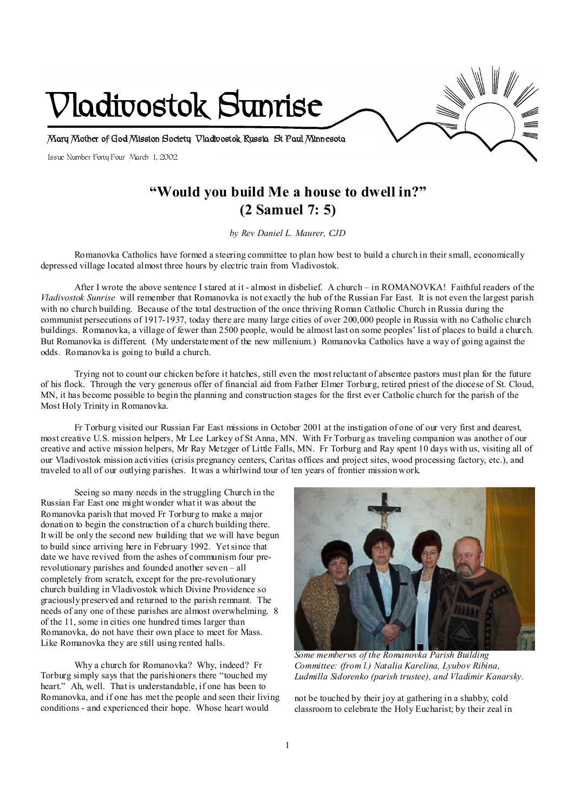

# **"Would you build Me a house to dwell in?" (2 Samuel 7: 5)**

*by Rev Daniel L. Maurer, CJD* 

Romanovka Catholics have formed a steering committee to plan how best to build a church in their small, economically depressed village located almost three hours by electric train from Vladivostok.

After I wrote the above sentence I stared at it - almost in disbelief. A church – in ROMANOVKA! Faithful readers of the *Vladivostok Sunrise* will remember that Romanovka is not exactly the hub of the Russian Far East. It is not even the largest parish with no church building. Because of the total destruction of the once thriving Roman Catholic Church in Russia during the communist persecutions of 1917-1937, today there are many large cities of over 200,000 people in Russia with no Catholic church buildings. Romanovka, a village of fewer than 2500 people, would be almost last on some peoples' list of places to build a church. But Romanovka is different. (My understatement of the new millenium.) Romanovka Catholics have a way of going against the odds. Romanovka is going to build a church.

Trying not to count our chicken before it hatches, still even the most reluctant of absentee pastors must plan for the future of his flock. Through the very generous offer of financial aid from Father Elmer Torburg, retired priest of the diocese of St. Cloud, MN, it has become possible to begin the planning and construction stages for the first ever Catholic church for the parish of the Most Holy Trinity in Romanovka.

Fr Torburg visited our Russian Far East missions in October 2001 at the instigation of one of our very first and dearest, most creative U.S. mission helpers, Mr Lee Larkey of St Anna, MN. With Fr Torburg as traveling companion was another of our creative and active mission helpers, Mr Ray Metzger of Little Falls, MN. Fr Torburg and Ray spent 10 days with us, visiting all of our Vladivostok mission activities (crisis pregnancy centers, Caritas offices and project sites, wood processing factory, etc.), and traveled to all of our outlying parishes. It was a whirlwind tour of ten years of frontier mission work.

Seeing so many needs in the struggling Church in the Russian Far East one might wonder what it was about the Romanovka parish that moved Fr Torburg to make a major donation to begin the construction of a church building there. It will be only the second new building that we will have begun to build since arriving here in February 1992. Yetsince that date we have revived from the ashes of communism four prerevolutionary parishes and founded another seven – all completely from scratch, except for the pre-revolutionary church building in Vladivostok which Divine Providence so graciously preserved and returned to the parish remnant. The needs of any one of these parishes are almost overwhelming. 8 of the 11, some in cities one hundred times larger than Romanovka, do not have their own place to meet for Mass. Like Romanovka they are still using rented halls.

Why a church for Romanovka? Why, indeed? Fr Torburg simply says that the parishioners there "touched my heart." Ah, well. That is understandable, if one has been to Romanovka, and if one has met the people and seen their living conditions - and experienced their hope. Whose heart would



*Some memberws of the Romanovka Parish Building Committee: (from l.) Natalia Karelina, Lyubov Ribina, Ludmilla Sidorenko (parish trustee), and Vladimir Kanarsky.* 

not be touched by their joy at gathering in a shabby, cold classroom to celebrate the Holy Eucharist; by their zeal in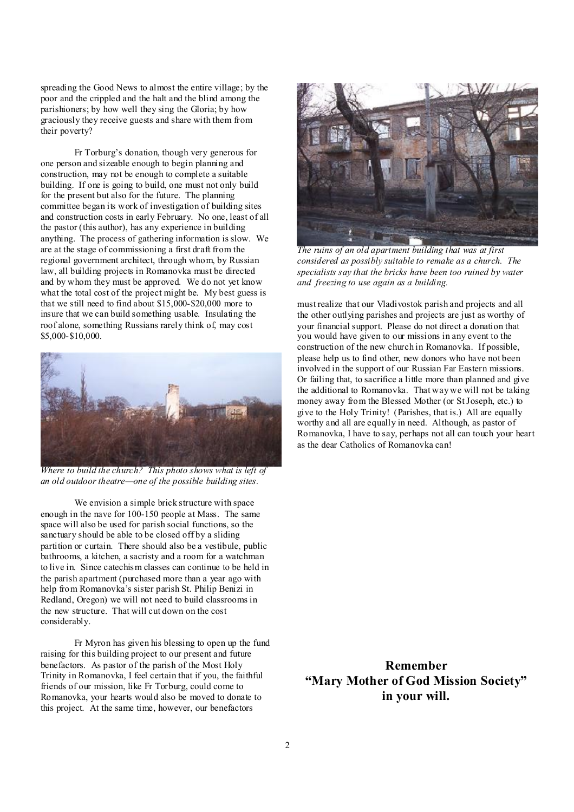spreading the Good News to almost the entire village; by the poor and the crippled and the halt and the blind among the parishioners; by how well they sing the Gloria; by how graciously they receive guests and share with them from their poverty?

Fr Torburg's donation, though very generous for one person and sizeable enough to begin planning and construction, may not be enough to complete a suitable building. If one is going to build, one must not only build for the present but also for the future. The planning committee began its work of investigation of building sites and construction costs in early February. No one, least of all the pastor (this author), has any experience in building anything. The process of gathering information is slow. We are at the stage of commissioning a first draft from the regional government architect, through whom, by Russian law, all building projects in Romanovka must be directed and by whom they must be approved. We do not yet know what the total cost of the project might be. My best guess is that we still need to find about \$15,000-\$20,000 more to insure that we can build something usable. Insulating the roof alone, something Russians rarely think of, may cost \$5,000-\$10,000.



*Where to build the church? This photo shows what is left of an old outdoor theatre—one of the possible building sites.* 

We envision a simple brick structure with space enough in the nave for 100-150 people at Mass. The same space will also be used for parish social functions, so the sanctuary should be able to be closed off by a sliding partition or curtain. There should also be a vestibule, public bathrooms, a kitchen, a sacristy and a room for a watchman to live in. Since catechism classes can continue to be held in the parish apartment (purchased more than a year ago with help from Romanovka's sister parish St. Philip Benizi in Redland, Oregon) we will not need to build classrooms in the new structure. That will cut down on the cost considerably.

Fr Myron has given his blessing to open up the fund raising for this building project to our present and future benefactors. As pastor of the parish of the Most Holy Trinity in Romanovka, I feel certain that if you, the faithful friends of our mission, like Fr Torburg, could come to Romanovka, your hearts would also be moved to donate to this project. At the same time, however, our benefactors



*The ruins of an old apartment building that was at first considered as possibly suitable to remake as a church. The specialists say that the bricks have been too ruined by water and freezing to use again as a building.* 

must realize that our Vladivostok parish and projects and all the other outlying parishes and projects are just as worthy of your financial support. Please do not direct a donation that you would have given to our missions in any event to the construction of the new church in Romanovka. If possible, please help us to find other, new donors who have not been involved in the support of our Russian Far Eastern missions. Or failing that, to sacrifice a little more than planned and give the additional to Romanovka. That way we will not be taking money away from the Blessed Mother (or StJoseph, etc.) to give to the Holy Trinity! (Parishes, that is.) All are equally worthy and all are equally in need. Although, as pastor of Romanovka, I have to say, perhaps not all can touch your heart as the dear Catholics of Romanovka can!

**Remember "Mary Mother of God Mission Society" in your will.**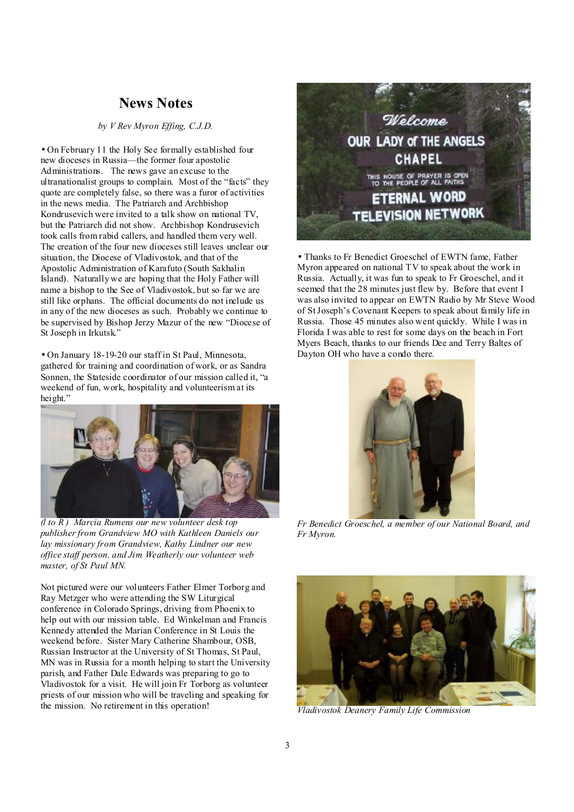## **News Notes**

*by V Rev Myron Effing, C.J.D.*

• On February 11 the Holy See formally established four new dioceses in Russia—the former four apostolic Administrations. The news gave an excuse to the ultranationalist groups to complain. Most of the "facts" they quote are completely false, so there was a furor of activities in the news media. The Patriarch and Archbishop Kondrusevich were invited to a talk show on national TV, but the Patriarch did not show. Archbishop Kondrusevich took calls from rabid callers, and handled them very well. The creation of the four new dioceses still leaves unclear our situation, the Diocese of Vladivostok, and that of the Apostolic Administration of Karafuto (South Sakhalin Island). Naturally we are hoping that the Holy Father will name a bishop to the See of Vladivostok, but so far we are still like orphans. The official documents do not include us in any of the new dioceses as such. Probably we continue to be supervised by Bishop Jerzy Mazur of the new "Diocese of St Joseph in Irkutsk."

• On January 18-19-20 our staff in St Paul, Minnesota, gathered for training and coordination of work, or as Sandra Sonnen, the Stateside coordinator of our mission called it, "a weekend of fun, work, hospitality and volunteerism at its height."



*(l to R ) Marcia Rumens our new volunteer desk top publisher from Grandview MO with Kathleen Daniels our lay missionary from Grandview, Kathy Lindner our new office staf person, and Jim Weatherly our volunteer web master, of St Paul MN.* 

Not pictured were our volunteers Father Elmer Torborg and Ray Metzger who were attending the SW Liturgical conference in Colorado Springs, driving from Phoenix to help out with our mission table. Ed Winkelman and Francis Kennedy attended the Marian Conference in St Louis the weekend before. Sister Mary Catherine Shambour, OSB, Russian Instructor at the University of St Thomas, St Paul, MN was in Russia for a month helping to start the University parish, and Father Dale Edwards was preparing to go to Vladivostok for a visit. He will join Fr Torborg as volunteer priests of our mission who will be traveling and speaking for the mission. No retirement in this operation!



• Thanks to Fr Benedict Groeschel of EWTN fame, Father Myron appeared on national TV to speak about the work in Russia. Actually, it was fun to speak to Fr Groeschel, and it seemed that the 28 minutes just flew by. Before that event I was also invited to appear on EWTN Radio by Mr Steve Wood of StJoseph's Covenant Keepers to speak about family life in Russia. Those 45 minutes also went quickly. While I was in Florida I was able to rest for some days on the beach in Fort Myers Beach, thanks to our friends Dee and Terry Baltes of Dayton OH who have a condo there.



*Fr Benedict Groeschel, a member of our National Board, and Fr Myron.* 



*Vladivostok Deanery Family Life Commission*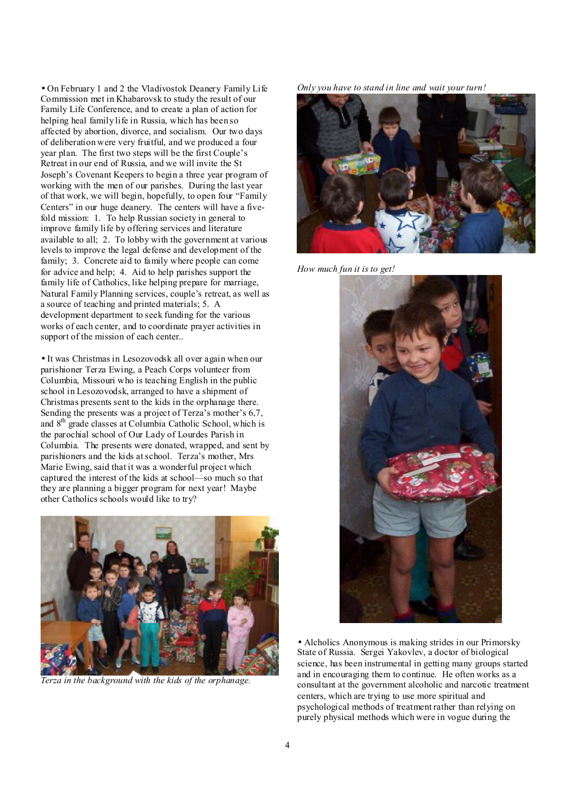• On February 1 and 2 the Vladivostok Deanery Family Life Commission met in Khabarovsk to study the result of our Family Life Conference, and to create a plan of action for helping heal family life in Russia, which has been so affected by abortion, divorce, and socialism. Our two days of deliberation were very fruitful, and we produced a four year plan. The first two steps will be the first Couple's Retreat in our end of Russia, and we will invite the St Joseph's Covenant Keepers to begin a three year program of working with the men of our parishes. During the last year of that work, we will begin, hopefully, to open four "Family Centers" in our huge deanery. The centers will have a fivefold mission: 1. To help Russian society in general to improve family life by offering services and literature available to all; 2. To lobby with the government at various levels to improve the legal defense and development of the family; 3. Concrete aid to family where people can come for advice and help; 4. Aid to help parishes support the family life of Catholics, like helping prepare for marriage, Natural Family Planning services, couple's retreat, as well as a source of teaching and printed materials; 5. A development department to seek funding for the various works of each center, and to coordinate prayer activities in support of the mission of each center..

• It was Christmas in Lesozovodsk all over again when our parishioner Terza Ewing, a Peach Corps volunteer from Columbia, Missouri who is teaching English in the public school in Lesozovodsk, arranged to have a shipment of Christmas presents sent to the kids in the orphanage there. Sending the presents was a project of Terza's mother's 6,7, and 8<sup>th</sup> grade classes at Columbia Catholic School, which is the parochial school of Our Lady of Lourdes Parish in Columbia. The presents were donated, wrapped, and sent by parishioners and the kids atschool. Terza's mother, Mrs Marie Ewing, said that it was a wonderful project which captured the interest of the kids at school—so much so that they are planning a bigger program for next year! Maybe other Catholics schools would like to try?



*Terza in the background with the kids of the orphanage.* 





*How much fun it is to get!* 



• Alcholics Anonymous is making strides in our Primorsky State of Russia. Sergei Yakovlev, a doctor of biological science, has been instrumental in getting many groups started and in encouraging them to continue. He often works as a consultant at the government alcoholic and narcotic treatment centers, which are trying to use more spiritual and psychological methods of treatment rather than relying on purely physical methods which were in vogue during the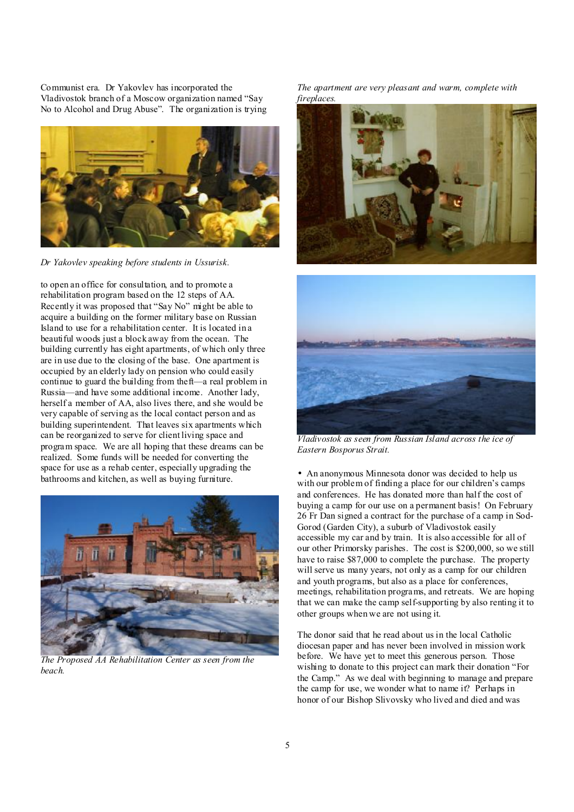Communist era. Dr Yakovlev has incorporated the Vladivostok branch of a Moscow organization named "Say No to Alcohol and Drug Abuse". The organization is trying



*Dr Yakovlev speaking before students in Ussurisk.* 

to open an office for consultation, and to promote a rehabilitation program based on the 12 steps of AA. Recently it was proposed that "Say No" might be able to acquire a building on the former military base on Russian Island to use for a rehabilitation center. It is located in a beautiful woods just a block away from the ocean. The building currently has eight apartments, of which only three are in use due to the closing of the base. One apartment is occupied by an elderly lady on pension who could easily continue to guard the building from theft—a real problem in Russia—and have some additional income. Another lady, herself a member of AA, also lives there, and she would be very capable of serving as the local contact person and as building superintendent. That leaves six apartments which can be reorganized to serve for client living space and program space. We are all hoping that these dreams can be realized. Some funds will be needed for converting the space for use as a rehab center, especially upgrading the bathrooms and kitchen, as well as buying furniture.



*The Proposed AA Rehabilitation Center as seen from the beach.* 

*The apartment are very pleasant and warm, complete with fireplaces.* 





*Vladivostok as seen from Russian Island across the ice of Eastern Bosporus Strait.*

• An anonymous Minnesota donor was decided to help us with our problem of finding a place for our children's camps and conferences. He has donated more than half the cost of buying a camp for our use on a permanent basis! On February 26 Fr Dan signed a contract for the purchase of a camp in Sod-Gorod (Garden City), a suburb of Vladivostok easily accessible my car and by train. It is also accessible for all of our other Primorsky parishes. The cost is \$200,000, so we still have to raise \$87,000 to complete the purchase. The property will serve us many years, not only as a camp for our children and youth programs, but also as a place for conferences, meetings, rehabilitation programs, and retreats. We are hoping that we can make the camp self-supporting by also renting it to other groups when we are not using it.

The donor said that he read about us in the local Catholic diocesan paper and has never been involved in mission work before. We have yet to meet this generous person. Those wishing to donate to this project can mark their donation "For the Camp." As we deal with beginning to manage and prepare the camp for use, we wonder what to name it? Perhaps in honor of our Bishop Slivovsky who lived and died and was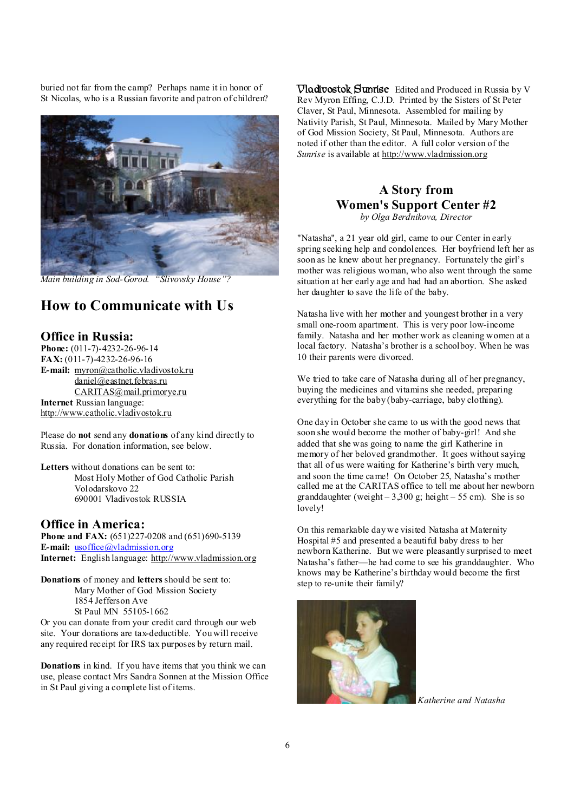buried not far from the camp? Perhaps name it in honor of St Nicolas, who is a Russian favorite and patron of children?



*Main building in Sod-Gorod. "Slivovsky House"?* 

# **How to Communicate with Us**

#### **Office in Russia:**

**Phone:** (011-7)-4232-26-96-14 **FAX:** (011-7)-4232-26-96-16 **E-mail:** [myron@catholic.vladivostok.ru](mailto:myron@catholic.vladivostok.ru) [daniel@eastnet.febras.ru](mailto:daniel@eastnet.febras.ru) [CARITAS@mail.primorye.ru](mailto:CARITAS@mail.primorye.ru) **Internet** Russian language: <http://www.catholic.vladivostok.ru>

Please do **not** send any **donations** of any kind directly to Russia. For donation information, see below.

**Letters** without donations can be sent to: Most Holy Mother of God Catholic Parish Volodarskovo 22 690001 Vladivostok RUSSIA

#### **Office in America:**

**Phone and FAX:** (651)227-0208 and (651)690-5139 **E-mail:** [usoffice@vladmission.org](mailto:usoffice@vladmission.org) **Internet:** English language:<http://www.vladmission.org>

**Donations** of money and **letters** should be sent to: Mary Mother of God Mission Society 1854 Jefferson Ave St Paul MN 55105-1662

Or you can donate from your credit card through our web site. Your donations are tax-deductible. You will receive any required receipt for IRS tax purposes by return mail.

**Donations** in kind. If you have items that you think we can use, please contact Mrs Sandra Sonnen at the Mission Office in St Paul giving a complete list of items.

**Vladivostok Sunrise** Edited and Produced in Russia by V Rev Myron Effing, C.J.D. Printed by the Sisters of St Peter Claver, St Paul, Minnesota. Assembled for mailing by Nativity Parish, St Paul, Minnesota. Mailed by Mary Mother of God Mission Society, St Paul, Minnesota. Authors are noted if other than the editor. A full color version of the *Sunrise* is available at <http://www.vladmission.org>

# **A Story from Women's Support Center #2**

*by Olga Berdnikova, Director* 

"Natasha", a 21 year old girl, came to our Center in early spring seeking help and condolences. Her boyfriend left her as soon as he knew about her pregnancy. Fortunately the girl's mother was religious woman, who also went through the same situation at her early age and had had an abortion. She asked her daughter to save the life of the baby.

Natasha live with her mother and youngest brother in a very small one-room apartment. This is very poor low-income family. Natasha and her mother work as cleaning women at a local factory. Natasha's brother is a schoolboy. When he was 10 their parents were divorced.

We tried to take care of Natasha during all of her pregnancy. buying the medicines and vitamins she needed, preparing everything for the baby (baby-carriage, baby clothing).

One day in October she came to us with the good news that soon she would become the mother of baby-girl! And she added that she was going to name the girl Katherine in memory of her beloved grandmother. It goes without saying that all of us were waiting for Katherine's birth very much, and soon the time came! On October 25, Natasha's mother called me at the CARITAS office to tell me about her newborn granddaughter (weight  $-3,300$  g; height  $-55$  cm). She is so lovely!

On this remarkable day we visited Natasha at Maternity Hospital #5 and presented a beautiful baby dress to her newborn Katherine. But we were pleasantly surprised to meet Natasha's father—he had come to see his granddaughter. Who knows may be Katherine's birthday would become the first step to re-unite their family?



*Katherine and Natasha*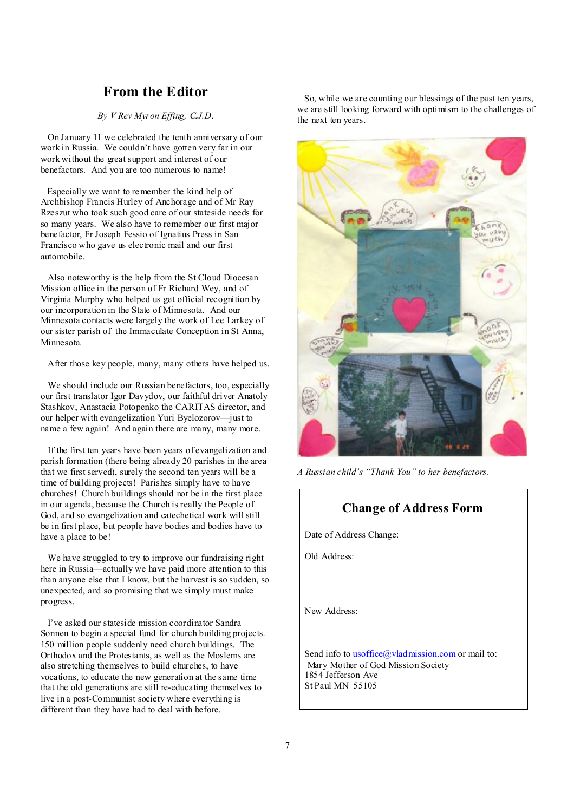## **From the Editor**

#### *By V Rev Myron Effing, C.J.D.*

On January 11 we celebrated the tenth anniversary of our work in Russia. We couldn't have gotten very far in our work without the great support and interest of our benefactors. And you are too numerous to name!

Especially we want to remember the kind help of Archbishop Francis Hurley of Anchorage and of Mr Ray Rzeszut who took such good care of our stateside needs for so many years. We also have to remember our first major benefactor, Fr Joseph Fessio of Ignatius Press in San Francisco who gave us electronic mail and our first automobile.

Also noteworthy is the help from the St Cloud Diocesan Mission office in the person of Fr Richard Wey, and of Virginia Murphy who helped us get official recognition by our incorporation in the State of Minnesota. And our Minnesota contacts were largely the work of Lee Larkey of our sister parish of the Immaculate Conception in St Anna, Minnesota.

After those key people, many, many others have helped us.

We should include our Russian benefactors, too, especially our first translator Igor Davydov, our faithful driver Anatoly Stashkov, Anastacia Potopenko the CARITAS director, and our helper with evangelization Yuri Byelozorov—just to name a few again! And again there are many, many more.

If the first ten years have been years of evangelization and parish formation (there being already 20 parishes in the area that we first served), surely the second ten years will be a time of building projects! Parishes simply have to have churches! Church buildings should not be in the first place in our agenda, because the Church is really the People of God, and so evangelization and catechetical work will still be in first place, but people have bodies and bodies have to have a place to be!

We have struggled to try to improve our fundraising right here in Russia—actually we have paid more attention to this than anyone else that I know, but the harvest is so sudden, so unexpected, and so promising that we simply must make progress.

I've asked our stateside mission coordinator Sandra Sonnen to begin a special fund for church building projects. 150 million people suddenly need church buildings. The Orthodox and the Protestants, as well as the Moslems are also stretching themselves to build churches, to have vocations, to educate the new generation at the same time that the old generations are still re-educating themselves to live in a post-Communist society where everything is different than they have had to deal with before.

 So, while we are counting our blessings of the past ten years, we are still looking forward with optimism to the challenges of the next ten years.



*A Russian child's "Thank You" to her benefactors.* 

### **Change of Address Form**

Date of Address Change:

Old Address:

New Address:

Send info to **usoffice**@vladmission.com or mail to: Mary Mother of God Mission Society 1854 Jefferson Ave St Paul MN 55105